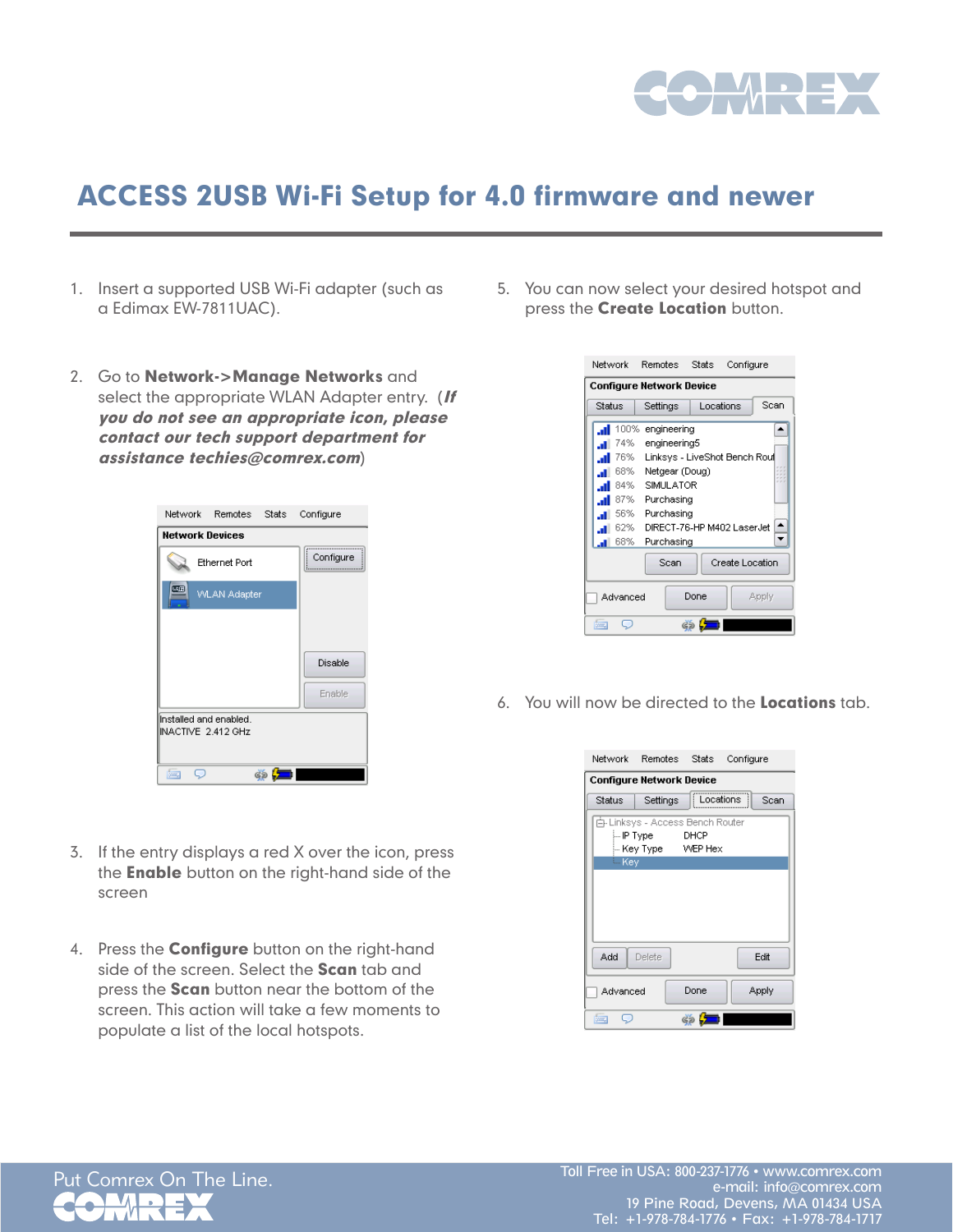

## ACCESS 2USB Wi-Fi Setup for 4.0 firmware and newer

- 1. Insert a supported USB Wi-Fi adapter (such as a Edimax EW-7811UAC).
- 2. Go to Network->Manage Networks and select the appropriate WLAN Adapter entry. (If you do not see an appropriate icon, please contact our tech support department for assistance techies@comrex.com)



- 3. If the entry displays a red X over the icon, press the **Enable** button on the right-hand side of the screen
- 4. Press the **Configure** button on the right-hand side of the screen. Select the **Scan** tab and press the **Scan** button near the bottom of the screen. This action will take a few moments to populate a list of the local hotspots.

5. You can now select your desired hotspot and press the **Create Location** button.



6. You will now be directed to the Locations tab.